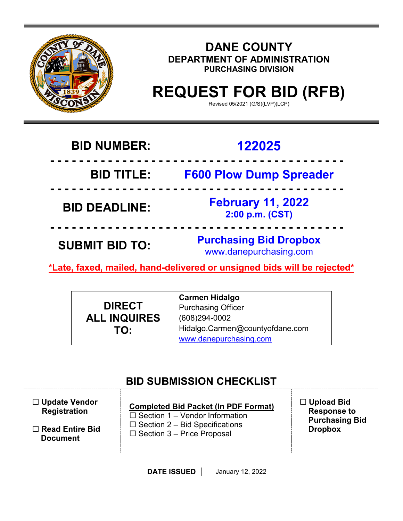

### **DANE COUNTY DEPARTMENT OF ADMINISTRATION PURCHASING DIVISION**

# **REQUEST FOR BID (RFB)**

Revised 05/2021 (G/S)(LVP)(LCP)

## **BID NUMBER: 122025**

 **- - - - - - - - - - - - - - - - - - - - - - - - - - - - - - - - - - - - - - - - - BID TITLE: F600 Plow Dump Spreader - - - - - - - - - - - - - - - - - - - - - - - - - - - - - - - - - - - - - - - - - BID DEADLINE: February 11, 2022 2:00 p.m. (CST) - - - - - - - - - - - - - - - - - - - - - - - - - - - - - - - - - - - - - - - - -**

**SUBMIT BID TO: Purchasing Bid Dropbox** www.danepurchasing.com

**\*Late, faxed, mailed, hand-delivered or unsigned bids will be rejected\*** 

**DIRECT ALL INQUIRES TO:**

**Carmen Hidalgo** Purchasing Officer (608)294-0002 Hidalgo.Carmen@countyofdane.com [www.danepurchasing.com](http://www.danepurchasing.com/)

### **BID SUBMISSION CHECKLIST**

| $\Box$ Update Vendor<br><b>Registration</b> | <b>Completed Bid Packet (In PDF Format)</b><br>$\Box$ Section 1 – Vendor Information | $\Box$ Upload Bid<br><b>Response to</b><br><b>Purchasing Bid</b> |
|---------------------------------------------|--------------------------------------------------------------------------------------|------------------------------------------------------------------|
| $\Box$ Read Entire Bid<br><b>Document</b>   | $\Box$ Section 2 – Bid Specifications<br>$\Box$ Section 3 – Price Proposal           | <b>Dropbox</b>                                                   |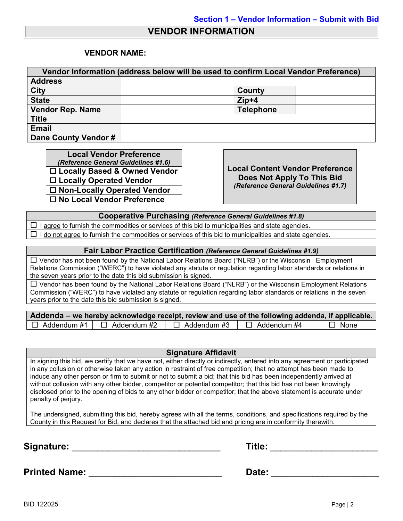#### **VENDOR INFORMATION**

#### **VENDOR NAME:**

| Vendor Information (address below will be used to confirm Local Vendor Preference) |                  |  |  |  |
|------------------------------------------------------------------------------------|------------------|--|--|--|
| <b>Address</b>                                                                     |                  |  |  |  |
| <b>City</b>                                                                        | County           |  |  |  |
| <b>State</b>                                                                       | $Zip+4$          |  |  |  |
| <b>Vendor Rep. Name</b>                                                            | <b>Telephone</b> |  |  |  |
| <b>Title</b>                                                                       |                  |  |  |  |
| <b>Email</b>                                                                       |                  |  |  |  |
| Dane County Vendor #                                                               |                  |  |  |  |

**Local Vendor Preference**<br>(*Reference General Guidelines #1.6*) *(Reference General Guidelines #1.6)* **Local Content Vendor Preference Locally Based & Owned Vendor Locally Operated Vendor Non-Locally Operated Vendor No Local Vendor Preference**

**Does Not Apply To This Bid** *(Reference General Guidelines #1.7)*

**Cooperative Purchasing** *(Reference General Guidelines #1.8)*

 $\Box$  I agree to furnish the commodities or services of this bid to municipalities and state agencies.  $\Box$  I do not agree to furnish the commodities or services of this bid to municipalities and state agencies.

#### **Fair Labor Practice Certification** *(Reference General Guidelines #1.9)*

 Vendor has not been found by the National Labor Relations Board ("NLRB") or the Wisconsin Employment Relations Commission ("WERC") to have violated any statute or regulation regarding labor standards or relations in the seven years prior to the date this bid submission is signed.

 $\Box$  Vendor has been found by the National Labor Relations Board ("NLRB") or the Wisconsin Employment Relations Commission ("WERC") to have violated any statute or regulation regarding labor standards or relations in the seven years prior to the date this bid submission is signed.

| Addenda – we hereby acknowledge receipt, review and use of the following addenda, if applicable. |                    |                    |             |
|--------------------------------------------------------------------------------------------------|--------------------|--------------------|-------------|
| $\Box$ Addendum #1 $\Box$ Addendum #2                                                            | $\Box$ Addendum #3 | $\Box$ Addendum #4 | $\Box$ None |

#### **Signature Affidavit**

In signing this bid, we certify that we have not, either directly or indirectly, entered into any agreement or participated in any collusion or otherwise taken any action in restraint of free competition; that no attempt has been made to induce any other person or firm to submit or not to submit a bid; that this bid has been independently arrived at without collusion with any other bidder, competitor or potential competitor; that this bid has not been knowingly disclosed prior to the opening of bids to any other bidder or competitor; that the above statement is accurate under penalty of perjury.

The undersigned, submitting this bid, hereby agrees with all the terms, conditions, and specifications required by the County in this Request for Bid, and declares that the attached bid and pricing are in conformity therewith.

**Signature:** \_\_\_\_\_\_\_\_\_\_\_\_\_\_\_\_\_\_\_\_\_\_\_\_\_\_\_\_\_ **Title:** \_\_\_\_\_\_\_\_\_\_\_\_\_\_\_\_\_\_\_\_\_

| Title: |  |
|--------|--|
|--------|--|

**Printed Name:** \_\_\_\_\_\_\_\_\_\_\_\_\_\_\_\_\_\_\_\_\_\_\_\_\_\_ **Date:** \_\_\_\_\_\_\_\_\_\_\_\_\_\_\_\_\_\_\_\_\_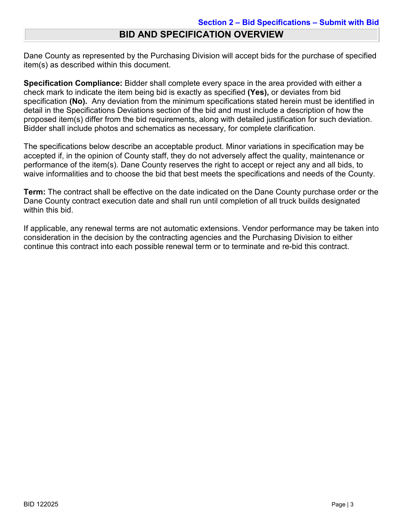### **BID AND SPECIFICATION OVERVIEW**

Dane County as represented by the Purchasing Division will accept bids for the purchase of specified item(s) as described within this document.

**Specification Compliance:** Bidder shall complete every space in the area provided with either a check mark to indicate the item being bid is exactly as specified **(Yes),** or deviates from bid specification **(No).** Any deviation from the minimum specifications stated herein must be identified in detail in the Specifications Deviations section of the bid and must include a description of how the proposed item(s) differ from the bid requirements, along with detailed justification for such deviation. Bidder shall include photos and schematics as necessary, for complete clarification.

The specifications below describe an acceptable product. Minor variations in specification may be accepted if, in the opinion of County staff, they do not adversely affect the quality, maintenance or performance of the item(s). Dane County reserves the right to accept or reject any and all bids, to waive informalities and to choose the bid that best meets the specifications and needs of the County.

**Term:** The contract shall be effective on the date indicated on the Dane County purchase order or the Dane County contract execution date and shall run until completion of all truck builds designated within this bid.

If applicable, any renewal terms are not automatic extensions. Vendor performance may be taken into consideration in the decision by the contracting agencies and the Purchasing Division to either continue this contract into each possible renewal term or to terminate and re-bid this contract.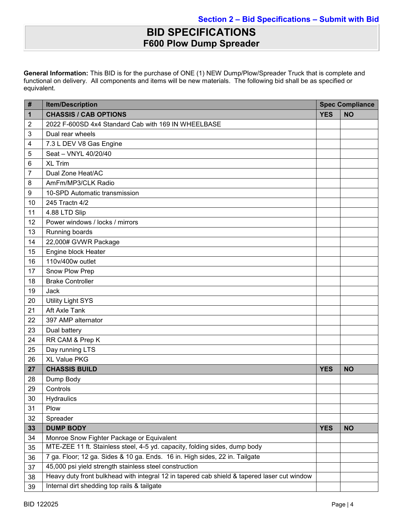### **BID SPECIFICATIONS F600 Plow Dump Spreader**

**General Information:** This BID is for the purchase of ONE (1) NEW Dump/Plow/Spreader Truck that is complete and functional on delivery. All components and items will be new materials. The following bid shall be as specified or equivalent.

| #              | <b>Item/Description</b>                                                                     | <b>Spec Compliance</b> |           |
|----------------|---------------------------------------------------------------------------------------------|------------------------|-----------|
| 1              | <b>CHASSIS / CAB OPTIONS</b>                                                                | <b>YES</b>             | <b>NO</b> |
| $\overline{2}$ | 2022 F-600SD 4x4 Standard Cab with 169 IN WHEELBASE                                         |                        |           |
| 3              | Dual rear wheels                                                                            |                        |           |
| 4              | 7.3 L DEV V8 Gas Engine                                                                     |                        |           |
| 5              | Seat - VNYL 40/20/40                                                                        |                        |           |
| 6              | <b>XL Trim</b>                                                                              |                        |           |
| 7              | Dual Zone Heat/AC                                                                           |                        |           |
| 8              | AmFm/MP3/CLK Radio                                                                          |                        |           |
| 9              | 10-SPD Automatic transmission                                                               |                        |           |
| 10             | 245 Tractn 4/2                                                                              |                        |           |
| 11             | 4.88 LTD Slip                                                                               |                        |           |
| 12             | Power windows / locks / mirrors                                                             |                        |           |
| 13             | Running boards                                                                              |                        |           |
| 14             | 22,000# GVWR Package                                                                        |                        |           |
| 15             | Engine block Heater                                                                         |                        |           |
| 16             | 110v/400w outlet                                                                            |                        |           |
| 17             | Snow Plow Prep                                                                              |                        |           |
| 18             | <b>Brake Controller</b>                                                                     |                        |           |
| 19             | Jack                                                                                        |                        |           |
| 20             | <b>Utility Light SYS</b>                                                                    |                        |           |
| 21             | Aft Axle Tank                                                                               |                        |           |
| 22             | 397 AMP alternator                                                                          |                        |           |
| 23             | Dual battery                                                                                |                        |           |
| 24             | RR CAM & Prep K                                                                             |                        |           |
| 25             | Day running LTS                                                                             |                        |           |
| 26             | <b>XL Value PKG</b>                                                                         |                        |           |
| 27             | <b>CHASSIS BUILD</b>                                                                        | <b>YES</b>             | <b>NO</b> |
| 28             | Dump Body                                                                                   |                        |           |
| 29             | Controls                                                                                    |                        |           |
| 30             | Hydraulics                                                                                  |                        |           |
| 31             | Plow                                                                                        |                        |           |
| 32             | Spreader                                                                                    |                        |           |
| 33             | <b>DUMP BODY</b>                                                                            | <b>YES</b>             | <b>NO</b> |
| 34             | Monroe Snow Fighter Package or Equivalent                                                   |                        |           |
| 35             | MTE-ZEE 11 ft. Stainless steel, 4-5 yd. capacity, folding sides, dump body                  |                        |           |
| 36             | 7 ga. Floor; 12 ga. Sides & 10 ga. Ends. 16 in. High sides, 22 in. Tailgate                 |                        |           |
| 37             | 45,000 psi yield strength stainless steel construction                                      |                        |           |
| 38             | Heavy duty front bulkhead with integral 12 in tapered cab shield & tapered laser cut window |                        |           |
| 39             | Internal dirt shedding top rails & tailgate                                                 |                        |           |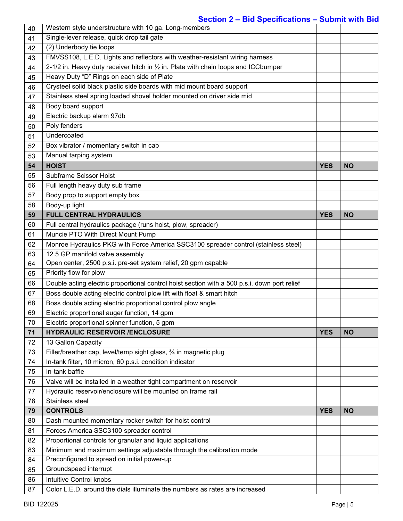### **Section 2 – Bid Specifications – Submit with Bid**

| 40       | Western style understructure with 10 ga. Long-members                                                                         |            |           |
|----------|-------------------------------------------------------------------------------------------------------------------------------|------------|-----------|
| 41       | Single-lever release, quick drop tail gate                                                                                    |            |           |
| 42       | (2) Underbody tie loops                                                                                                       |            |           |
| 43       | FMVSS108, L.E.D. Lights and reflectors with weather-resistant wiring harness                                                  |            |           |
| 44       | 2-1/2 in. Heavy duty receiver hitch in 1/2 in. Plate with chain loops and ICCbumper                                           |            |           |
| 45       | Heavy Duty "D" Rings on each side of Plate                                                                                    |            |           |
| 46       | Crysteel solid black plastic side boards with mid mount board support                                                         |            |           |
| 47       | Stainless steel spring loaded shovel holder mounted on driver side mid                                                        |            |           |
| 48       | Body board support                                                                                                            |            |           |
| 49       | Electric backup alarm 97db                                                                                                    |            |           |
| 50       | Poly fenders                                                                                                                  |            |           |
| 51       | Undercoated                                                                                                                   |            |           |
| 52       | Box vibrator / momentary switch in cab                                                                                        |            |           |
| 53       | Manual tarping system                                                                                                         |            |           |
| 54       | <b>HOIST</b>                                                                                                                  | <b>YES</b> | <b>NO</b> |
| 55       | Subframe Scissor Hoist                                                                                                        |            |           |
| 56       | Full length heavy duty sub frame                                                                                              |            |           |
| 57       | Body prop to support empty box                                                                                                |            |           |
| 58       | Body-up light                                                                                                                 |            |           |
| 59       | <b>FULL CENTRAL HYDRAULICS</b>                                                                                                | <b>YES</b> | <b>NO</b> |
| 60       | Full central hydraulics package (runs hoist, plow, spreader)                                                                  |            |           |
| 61       | Muncie PTO With Direct Mount Pump                                                                                             |            |           |
| 62       | Monroe Hydraulics PKG with Force America SSC3100 spreader control (stainless steel)                                           |            |           |
| 63       | 12.5 GP manifold valve assembly                                                                                               |            |           |
| 64       | Open center, 2500 p.s.i. pre-set system relief, 20 gpm capable                                                                |            |           |
| 65       | Priority flow for plow                                                                                                        |            |           |
| 66       | Double acting electric proportional control hoist section with a 500 p.s.i. down port relief                                  |            |           |
| 67       | Boss double acting electric control plow lift with float & smart hitch                                                        |            |           |
| 68       | Boss double acting electric proportional control plow angle                                                                   |            |           |
| 69       | Electric proportional auger function, 14 gpm                                                                                  |            |           |
| 70       | Electric proportional spinner function, 5 gpm                                                                                 |            |           |
| 71       | <b>HYDRAULIC RESERVOIR /ENCLOSURE</b>                                                                                         | <b>YES</b> | <b>NO</b> |
|          | 13 Gallon Capacity                                                                                                            |            |           |
| 72<br>73 |                                                                                                                               |            |           |
| 74       | Filler/breather cap, level/temp sight glass, 3/4 in magnetic plug<br>In-tank filter, 10 micron, 60 p.s.i. condition indicator |            |           |
| 75       | In-tank baffle                                                                                                                |            |           |
|          |                                                                                                                               |            |           |
| 76       | Valve will be installed in a weather tight compartment on reservoir                                                           |            |           |
| 77       | Hydraulic reservoir/enclosure will be mounted on frame rail                                                                   |            |           |
| 78       | Stainless steel                                                                                                               |            |           |
| 79       | <b>CONTROLS</b>                                                                                                               | <b>YES</b> | <b>NO</b> |
| 80       | Dash mounted momentary rocker switch for hoist control                                                                        |            |           |
| 81       | Forces America SSC3100 spreader control                                                                                       |            |           |
| 82       | Proportional controls for granular and liquid applications                                                                    |            |           |
| 83       | Minimum and maximum settings adjustable through the calibration mode                                                          |            |           |
| 84       | Preconfigured to spread on initial power-up                                                                                   |            |           |
| 85       | Groundspeed interrupt                                                                                                         |            |           |
| 86       | Intuitive Control knobs                                                                                                       |            |           |
| 87       | Color L.E.D. around the dials illuminate the numbers as rates are increased                                                   |            |           |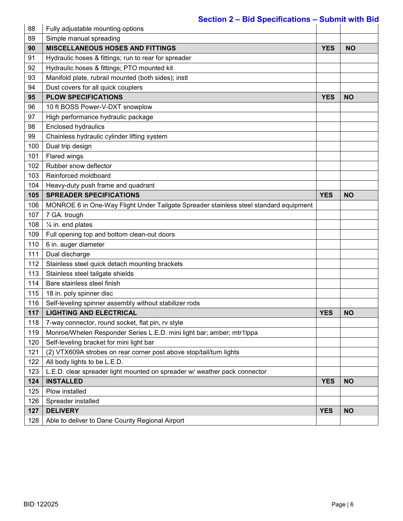#### **Section 2 – Bid Specifications – Submit with Bid**

| 88  | Fully adjustable mounting options                                                     |            |           |
|-----|---------------------------------------------------------------------------------------|------------|-----------|
| 89  | Simple manual spreading                                                               |            |           |
| 90  | <b>MISCELLANEOUS HOSES AND FITTINGS</b>                                               | <b>YES</b> | <b>NO</b> |
| 91  | Hydraulic hoses & fittings; run to rear for spreader                                  |            |           |
| 92  | Hydraulic hoses & fittings; PTO mounted kit                                           |            |           |
| 93  | Manifold plate, rubrail mounted (both sides); instl                                   |            |           |
| 94  | Dust covers for all quick couplers                                                    |            |           |
| 95  | <b>PLOW SPECIFICATIONS</b>                                                            | <b>YES</b> | <b>NO</b> |
| 96  | 10 ft BOSS Power-V-DXT snowplow                                                       |            |           |
| 97  | High performance hydraulic package                                                    |            |           |
| 98  | <b>Enclosed hydraulics</b>                                                            |            |           |
| 99  | Chainless hydraulic cylinder lifting system                                           |            |           |
| 100 | Dual trip design                                                                      |            |           |
| 101 | Flared wings                                                                          |            |           |
| 102 | Rubber snow deflector                                                                 |            |           |
| 103 | Reinforced moldboard                                                                  |            |           |
| 104 | Heavy-duty push frame and quadrant                                                    |            |           |
| 105 | <b>SPREADER SPECIFICATIONS</b>                                                        | <b>YES</b> | <b>NO</b> |
| 106 | MONROE 6 in One-Way Flight Under Tailgate Spreader stainless steel standard equipment |            |           |
| 107 | 7 GA. trough                                                                          |            |           |
| 108 | 1/4 in. end plates                                                                    |            |           |
| 109 | Full opening top and bottom clean-out doors                                           |            |           |
| 110 | 6 in. auger diameter                                                                  |            |           |
| 111 | Dual discharge                                                                        |            |           |
| 112 | Stainless steel quick detach mounting brackets                                        |            |           |
| 113 | Stainless steel tailgate shields                                                      |            |           |
| 114 | Bare stainless steel finish                                                           |            |           |
| 115 | 18 in. poly spinner disc                                                              |            |           |
| 116 | Self-leveling spinner assembly without stabilizer rods                                |            |           |
| 117 | <b>LIGHTING AND ELECTRICAL</b>                                                        | <b>YES</b> | <b>NO</b> |
| 118 | 7-way connector, round socket, flat pin, rv style                                     |            |           |
| 119 | Monroe/Whelen Responder Series L.E.D. mini light bar; amber; mtr1lppa                 |            |           |
| 120 | Self-leveling bracket for mini light bar                                              |            |           |
| 121 | (2) VTX609A strobes on rear corner post above stop/tail/turn lights                   |            |           |
| 122 | All body lights to be L.E.D.                                                          |            |           |
| 123 | L.E.D. clear spreader light mounted on spreader w/ weather pack connector             |            |           |
| 124 | <b>INSTALLED</b>                                                                      | <b>YES</b> | <b>NO</b> |
| 125 | Plow installed                                                                        |            |           |
| 126 | Spreader installed                                                                    |            |           |
| 127 | <b>DELIVERY</b>                                                                       | <b>YES</b> | <b>NO</b> |
| 128 | Able to deliver to Dane County Regional Airport                                       |            |           |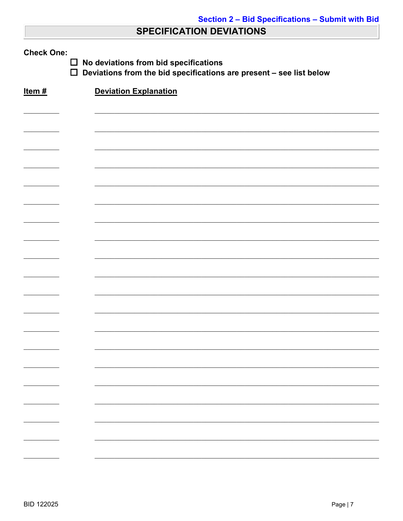### **SPECIFICATION DEVIATIONS**

| <b>Check One:</b><br>No deviations from bid specifications<br>$\Box$<br>$\Box$<br>Deviations from the bid specifications are present - see list below |                              |  |  |  |
|-------------------------------------------------------------------------------------------------------------------------------------------------------|------------------------------|--|--|--|
| Item#                                                                                                                                                 | <b>Deviation Explanation</b> |  |  |  |
|                                                                                                                                                       |                              |  |  |  |
|                                                                                                                                                       |                              |  |  |  |
|                                                                                                                                                       |                              |  |  |  |
|                                                                                                                                                       |                              |  |  |  |
|                                                                                                                                                       |                              |  |  |  |
|                                                                                                                                                       |                              |  |  |  |
|                                                                                                                                                       |                              |  |  |  |
|                                                                                                                                                       |                              |  |  |  |
|                                                                                                                                                       |                              |  |  |  |
|                                                                                                                                                       |                              |  |  |  |
|                                                                                                                                                       |                              |  |  |  |
|                                                                                                                                                       |                              |  |  |  |
|                                                                                                                                                       |                              |  |  |  |
|                                                                                                                                                       |                              |  |  |  |
|                                                                                                                                                       |                              |  |  |  |
|                                                                                                                                                       |                              |  |  |  |
|                                                                                                                                                       |                              |  |  |  |
|                                                                                                                                                       |                              |  |  |  |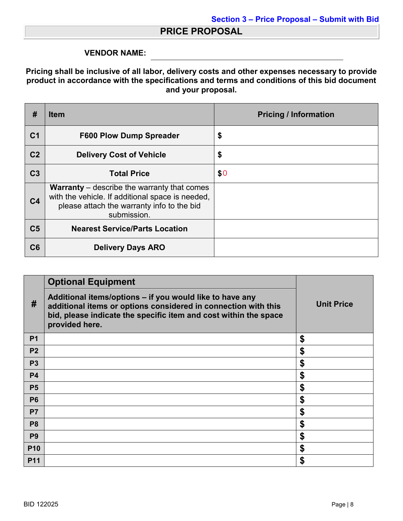#### **PRICE PROPOSAL**

#### **VENDOR NAME:**

#### **Pricing shall be inclusive of all labor, delivery costs and other expenses necessary to provide product in accordance with the specifications and terms and conditions of this bid document and your proposal.**

| #              | <b>Item</b>                                                                                                                                                         | <b>Pricing / Information</b> |
|----------------|---------------------------------------------------------------------------------------------------------------------------------------------------------------------|------------------------------|
| C <sub>1</sub> | <b>F600 Plow Dump Spreader</b>                                                                                                                                      | \$                           |
| C <sub>2</sub> | <b>Delivery Cost of Vehicle</b>                                                                                                                                     | \$                           |
| C <sub>3</sub> | <b>Total Price</b>                                                                                                                                                  | \$0                          |
| C <sub>4</sub> | <b>Warranty</b> – describe the warranty that comes<br>with the vehicle. If additional space is needed,<br>please attach the warranty info to the bid<br>submission. |                              |
| C <sub>5</sub> | <b>Nearest Service/Parts Location</b>                                                                                                                               |                              |
| C6             | <b>Delivery Days ARO</b>                                                                                                                                            |                              |

|                | <b>Optional Equipment</b>                                                                                                                                                                                        |                   |  |
|----------------|------------------------------------------------------------------------------------------------------------------------------------------------------------------------------------------------------------------|-------------------|--|
| #              | Additional items/options - if you would like to have any<br>additional items or options considered in connection with this<br>bid, please indicate the specific item and cost within the space<br>provided here. | <b>Unit Price</b> |  |
| P <sub>1</sub> |                                                                                                                                                                                                                  | S                 |  |
| <b>P2</b>      |                                                                                                                                                                                                                  | \$                |  |
| P <sub>3</sub> |                                                                                                                                                                                                                  | \$                |  |
| <b>P4</b>      |                                                                                                                                                                                                                  | \$                |  |
| <b>P5</b>      |                                                                                                                                                                                                                  | \$                |  |
| <b>P6</b>      |                                                                                                                                                                                                                  | \$                |  |
| <b>P7</b>      |                                                                                                                                                                                                                  | \$                |  |
| P <sub>8</sub> |                                                                                                                                                                                                                  | \$                |  |
| P <sub>9</sub> |                                                                                                                                                                                                                  | \$                |  |
| <b>P10</b>     |                                                                                                                                                                                                                  | \$                |  |
| <b>P11</b>     |                                                                                                                                                                                                                  | \$                |  |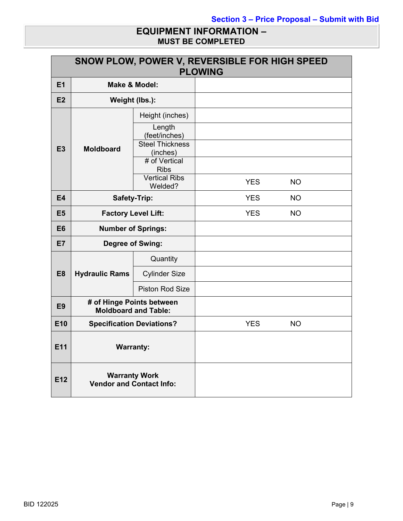#### **EQUIPMENT INFORMATION – MUST BE COMPLETED**

|                 | SNOW PLOW, POWER V, REVERSIBLE FOR HIGH SPEED<br><b>PLOWING</b> |                                                   |            |           |
|-----------------|-----------------------------------------------------------------|---------------------------------------------------|------------|-----------|
| E1              | <b>Make &amp; Model:</b>                                        |                                                   |            |           |
| E2              | Weight (lbs.):                                                  |                                                   |            |           |
|                 |                                                                 | Height (inches)                                   |            |           |
|                 |                                                                 | Length<br>(feet/inches)<br><b>Steel Thickness</b> |            |           |
| E <sub>3</sub>  | <b>Moldboard</b>                                                | (inches)                                          |            |           |
|                 |                                                                 | # of Vertical<br><b>Ribs</b>                      |            |           |
|                 |                                                                 | <b>Vertical Ribs</b><br>Welded?                   | <b>YES</b> | <b>NO</b> |
| <b>E4</b>       | <b>Safety-Trip:</b>                                             |                                                   | <b>YES</b> | <b>NO</b> |
| E <sub>5</sub>  | <b>Factory Level Lift:</b>                                      |                                                   | <b>YES</b> | <b>NO</b> |
| E <sub>6</sub>  | <b>Number of Springs:</b>                                       |                                                   |            |           |
| <b>E7</b>       | <b>Degree of Swing:</b>                                         |                                                   |            |           |
|                 |                                                                 | Quantity                                          |            |           |
| E <sub>8</sub>  | <b>Hydraulic Rams</b>                                           | <b>Cylinder Size</b>                              |            |           |
|                 |                                                                 | <b>Piston Rod Size</b>                            |            |           |
| E <sub>9</sub>  | # of Hinge Points between<br><b>Moldboard and Table:</b>        |                                                   |            |           |
| E10             | <b>Specification Deviations?</b>                                |                                                   | <b>YES</b> | <b>NO</b> |
| E11             | <b>Warranty:</b>                                                |                                                   |            |           |
| E <sub>12</sub> | <b>Warranty Work</b><br><b>Vendor and Contact Info:</b>         |                                                   |            |           |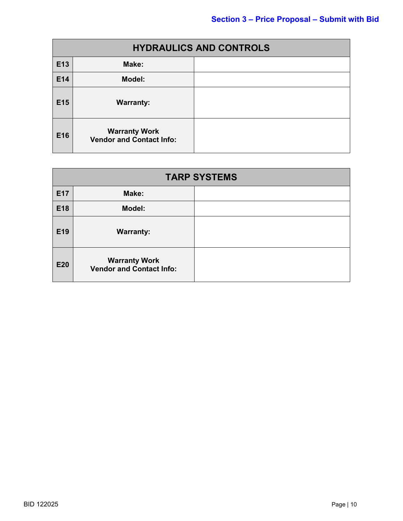| <b>HYDRAULICS AND CONTROLS</b> |                                                         |  |
|--------------------------------|---------------------------------------------------------|--|
| E13                            | Make:                                                   |  |
| E14                            | <b>Model:</b>                                           |  |
| E15                            | <b>Warranty:</b>                                        |  |
| E16                            | <b>Warranty Work</b><br><b>Vendor and Contact Info:</b> |  |

| <b>TARP SYSTEMS</b> |                                                         |  |  |  |  |  |
|---------------------|---------------------------------------------------------|--|--|--|--|--|
| E17                 | Make:                                                   |  |  |  |  |  |
| E18                 | Model:                                                  |  |  |  |  |  |
| E19                 | <b>Warranty:</b>                                        |  |  |  |  |  |
| E20                 | <b>Warranty Work</b><br><b>Vendor and Contact Info:</b> |  |  |  |  |  |